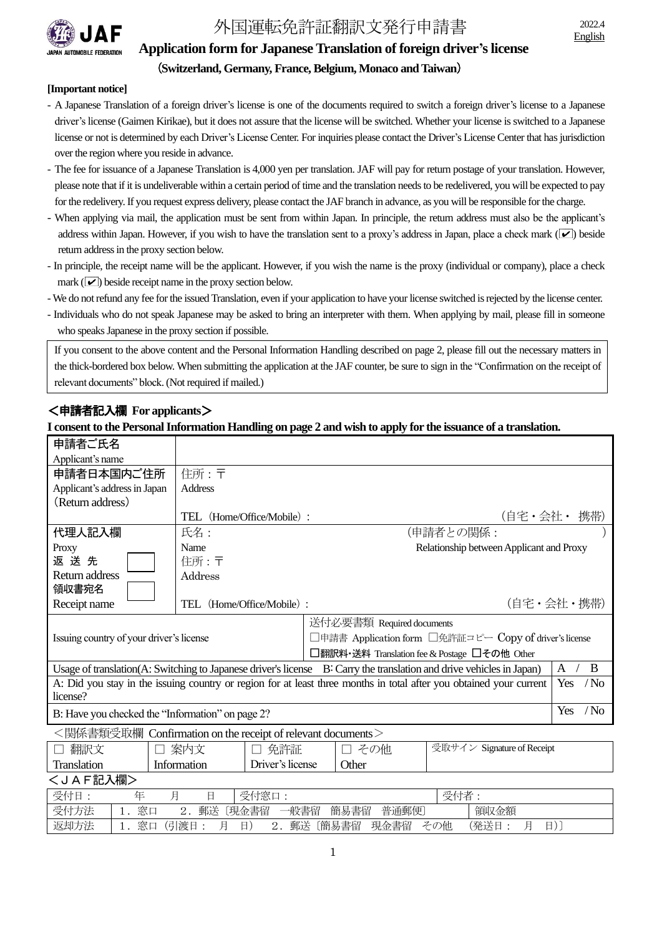

# 外国運転免許証翻訳文発行申請書 2022.4

## **Application form for Japanese Translation of foreign driver's license** (**Switzerland, Germany, France, Belgium, Monaco and Taiwan**)

#### **[Important notice]**

- A Japanese Translation of a foreign driver's license is one of the documents required to switch a foreign driver's license to a Japanese driver's license (Gaimen Kirikae), but it does not assure that the license will be switched. Whether your license is switched to a Japanese license or not is determined by each Driver's License Center. For inquiries please contact the Driver's License Center that has jurisdiction over the region where you reside in advance.
- The fee for issuance of a Japanese Translation is 4,000 yen per translation. JAF will pay for return postage of your translation. However, please note that if it is undeliverable within a certain period of time and the translation needs to be redelivered, you will be expected to pay for the redelivery. If you request express delivery, please contact the JAF branch in advance, as you will be responsible for the charge.
- When applying via mail, the application must be sent from within Japan. In principle, the return address must also be the applicant's address within Japan. However, if you wish to have the translation sent to a proxy's address in Japan, place a check mark  $(\vee)$  beside return address in the proxy section below.
- In principle, the receipt name will be the applicant. However, if you wish the name is the proxy (individual or company), place a check mark ( $\vee$ ) beside receipt name in the proxy section below.
- We do not refund any fee for the issued Translation, even if your application to have your license switched is rejected by the license center.
- Individuals who do not speak Japanese may be asked to bring an interpreter with them. When applying by mail, please fill in someone who speaks Japanese in the proxy section if possible.

If you consent to the above content and the Personal Information Handling described on page 2, please fill out the necessary matters in the thick-bordered box below. When submitting the application at the JAF counter, be sure to sign in the "Confirmation on the receipt of relevant documents" block.(Not required if mailed.)

## <申請者記入欄 **For applicants**>

Ļ

### **I consent to the Personal Information Handling on page 2 and wish to apply for the issuance of a translation.**

| 申請者ご氏名                                                                                                                     |                |                                           |                                                        |                            |  |  |  |  |  |  |
|----------------------------------------------------------------------------------------------------------------------------|----------------|-------------------------------------------|--------------------------------------------------------|----------------------------|--|--|--|--|--|--|
| Applicant's name                                                                                                           |                |                                           |                                                        |                            |  |  |  |  |  |  |
| 申請者日本国内ご住所                                                                                                                 | 住所:〒           |                                           |                                                        |                            |  |  |  |  |  |  |
| Applicant's address in Japan                                                                                               | <b>Address</b> |                                           |                                                        |                            |  |  |  |  |  |  |
| (Return address)                                                                                                           |                |                                           |                                                        |                            |  |  |  |  |  |  |
|                                                                                                                            |                | (自宅・会社・ 携帯)<br>TEL (Home/Office/Mobile) : |                                                        |                            |  |  |  |  |  |  |
| 代理人記入欄                                                                                                                     | 氏名:            | (申請者との関係:                                 |                                                        |                            |  |  |  |  |  |  |
| Proxy                                                                                                                      | Name           |                                           | Relationship between Applicant and Proxy               |                            |  |  |  |  |  |  |
| 返送先                                                                                                                        | 住所:〒           |                                           |                                                        |                            |  |  |  |  |  |  |
| Return address                                                                                                             | Address        |                                           |                                                        |                            |  |  |  |  |  |  |
| 領収書宛名                                                                                                                      |                |                                           |                                                        |                            |  |  |  |  |  |  |
| Receipt name                                                                                                               | TEL            | (自宅・会社・携帯)<br>(Home/Office/Mobile):       |                                                        |                            |  |  |  |  |  |  |
|                                                                                                                            |                |                                           | 送付必要書類 Required documents                              |                            |  |  |  |  |  |  |
| Issuing country of your driver's license                                                                                   |                |                                           | □申請書 Application form □免許証コピー Copy of driver's license |                            |  |  |  |  |  |  |
|                                                                                                                            |                |                                           | □翻訳料・送料 Translation fee & Postage □その他 Other           |                            |  |  |  |  |  |  |
| Usage of translation(A: Switching to Japanese driver's license B: Carry the translation and drive vehicles in Japan)       |                |                                           |                                                        |                            |  |  |  |  |  |  |
| A: Did you stay in the issuing country or region for at least three months in total after you obtained your current<br>Yes |                |                                           |                                                        |                            |  |  |  |  |  |  |
| license?                                                                                                                   |                |                                           |                                                        |                            |  |  |  |  |  |  |
| B: Have you checked the "Information" on page 2?                                                                           |                |                                           |                                                        |                            |  |  |  |  |  |  |
| <関係書類受取欄 Confirmation on the receipt of relevant documents>                                                                |                |                                           |                                                        |                            |  |  |  |  |  |  |
| 翻訳文                                                                                                                        | □ 案内文          | 免許証                                       | その他<br>$\Box$                                          | 受取サイン Signature of Receipt |  |  |  |  |  |  |
| Translation                                                                                                                | Information    | Driver's license                          | Other                                                  |                            |  |  |  |  |  |  |

## <JAF記入欄>

| 受付日  | 圧  | 口   |    | 受付<br>寸窓口 |    |      |       |       | ご仕<br>'X. | 伯    |   |  |
|------|----|-----|----|-----------|----|------|-------|-------|-----------|------|---|--|
| 受付方法 | 窓口 |     | 郵送 | 〔現金書留     |    | 一般書留 | 簡易書留  | 普通郵便〕 |           | 領収金額 |   |  |
| 返却方法 | 窓口 | 引渡日 |    | 目.        | ∠. | 郵送   | (簡易書留 | 現金書留  | その他       | (発送日 | 日 |  |